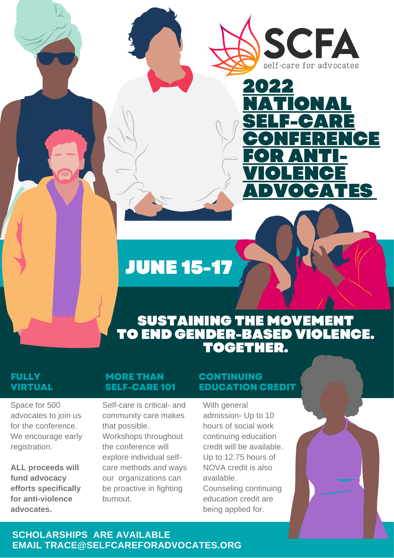



## JUNE 15-17

## SUSTAINING THE MOVEMENT TO END GENDER-BASED VIOLENCE. TOGETHER.

#### **FULLY VIRTUAL**

Space for 500 advocates to join us for the conference. We encourage early registration.

**ALL proceeds will fund advocacy efforts specifically for anti-violence advocates.**

#### **MORE THAN SELF-CARE 101**

Self-care is critical- and community care makes that possible. Workshops throughout the conference will explore individual selfcare methods *and* ways our organizations can be proactive in fighting burnout.

#### **CONTINUING EDUCATION CREDIT**

With general admission- Up to 10 hours of social work continuing education credit will be available. Up to 12.75 hours of NOVA credit is also available. Counseling continuing

education credit are being applied for.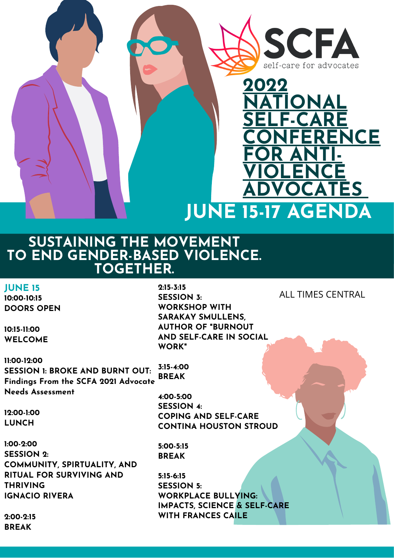



## **SUSTAINING THE MOVEMENT TO END GENDER-BASED VIOLENCE. TOGETHER.**

**JUNE 15**

**10:00-10:15 DOORS OPEN**

**10:15-11:00 WELCOME**

**11:00-12:00 SESSION 1: BROKE AND BURNT OUT: Findings From the SCFA 2021 Advocate Needs Assessment 3:15-4:00 BREAK**

**12:00-1:00 LUNCH**

**1:00-2:00 SESSION 2: COMMUNITY, SPIRTUALITY, AND RITUAL FOR SURVIVING AND THRIVING IGNACIO RIVERA**

**REGISTRATION BEGINS APRIL 15, 2022 WWW.SELFCAREFORAGEMENT.**<br>Selfcareforments **2:15-3:15 SESSION 3: WORKSHOP WITH SARAKAY SMULLENS, AUTHOR OF "BURNOUT AND SELF-CARE IN SOCIAL WORK"**

ALL TIMES CENTRAL

**4:00-5:00 SESSION 4: COPING AND SELF-CARE CONTINA HOUSTON STROUD**

**5:00-5:15 BREAK**

**5:15-6:15 SESSION 5: WORKPLACE BULLYING: IMPACTS, SCIENCE & SELF-CARE WITH FRANCES CAILE**

**2:00-2:15 BREAK**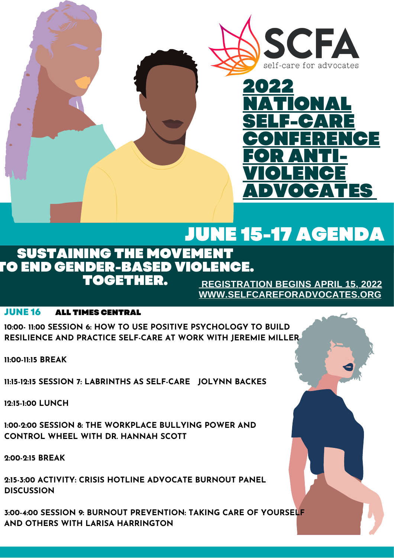



# JUNE 15-17 AGENDA

#### SUSTAINING THE MOVEMENT TO END GENDER-BASED VIOLENCE. TOGETHER.

**[REGISTRATION](http://selfcareforadvocates.org/) BEGINS APRIL 15, 2022 [WWW.SELFCAREFORADVOCATES.ORG](http://selfcareforadvocates.org/)**

#### **JUNE 16** ALL TIMES CENTRAL

**10:00- 11:00 SESSION 6: HOW TO USE POSITIVE PSYCHOLOGY TO BUILD RESILIENCE AND PRACTICE SELF-CARE AT WORK WITH JEREMIE MILLER**

**11:00-11:15 BREAK**

**11:15-12:15 SESSION 7: LABRINTHS AS SELF-CARE JOLYNN BACKES**

**12:15-1:00 LUNCH**

**1:00-2:00 SESSION 8: THE WORKPLACE BULLYING POWER AND CONTROL WHEEL WITH DR. HANNAH SCOTT**

**2:00-2:15 BREAK**

**2:15-3:00 ACTIVITY: CRISIS HOTLINE ADVOCATE BURNOUT PANEL DISCUSSION**

**3:00-4:00 SESSION 9: BURNOUT PREVENTION: TAKING CARE OF YOURSELF AND OTHERS WITH LARISA HARRINGTON**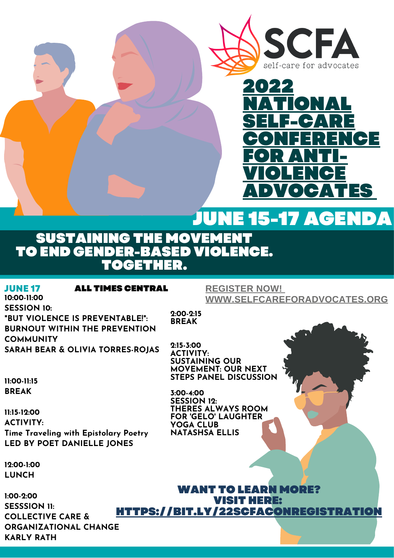



## JUNE 15-17 AGENDA

### SUSTAINING THE MOVEMENT TO END GENDER-BASED VIOLENCE. OGETHER.

#### **10:00-11:00 JUNE 17**

#### ALL TIMES CENTRAL

#### **[REGISTER](https://bit.ly/22SCFAConRegistration) NOW[!](https://bit.ly/22SCFAConRegistration) [WWW.SELFCAREFORADVOCATES.ORG](http://www.selfcareforadvocates.org/)**

**SESSION 10: "BUT VIOLENCE IS PREVENTABLE!": BURNOUT WITHIN THE PREVENTION COMMUNITY SARAH BEAR & OLIVIA TORRES-ROJAS**

**2:15-3:00 ACTIVITY: SUSTAINING OUR MOVEMENT: OUR NEXT STEPS PANEL DISCUSSION**

**2:00-2:15 BREAK**

**11:00-11:15 BREAK**

**11:15-12:00 ACTIVITY: Time Traveling with Epistolary Poetry LED BY POET DANIELLE JONES**

**12:00-1:00 LUNCH**

**1:00-2:00 SESSSION 11: COLLECTIVE CARE & ORGANIZATIONAL CHANGE KARLY RATH**

**3:00-4:00 SESSION 12: THERES ALWAYS ROOM FOR 'GELO' LAUGHTER YOGA CLUB NATASHSA ELLIS**

WANT TO LEARN MORE? VISIT HERE: [HTTPS://BIT.LY/22SCFACONREGISTRATION](https://bit.ly/22SCFAConRegistration)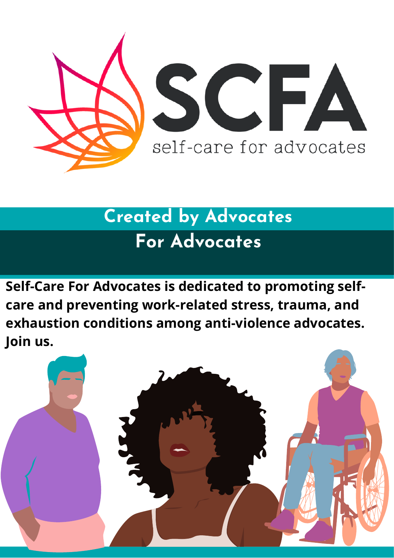

# **Created by Advocates For Advocates**

**Self-Care For Advocates is dedicated to promoting selfcare and preventing work-related stress, trauma, and exhaustion conditions among anti-violence advocates. Join us.**

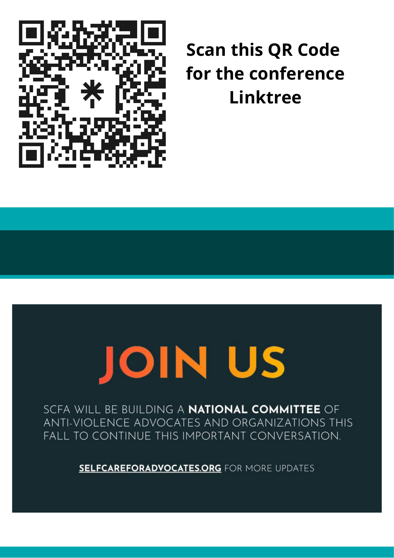

# **Scan this QR Code for the conference Linktree**

# **JOIN US**

SCFA WILL BE BUILDING A **NATIONAL COMMITTEE** OF ANTI-VIOLENCE ADVOCATES AND ORGANIZATIONS THIS FALL TO CONTINUE THIS IMPORTANT CONVERSATION.

**SELFCAREFORADVOCATES.ORG FOR MORE UPDATES**